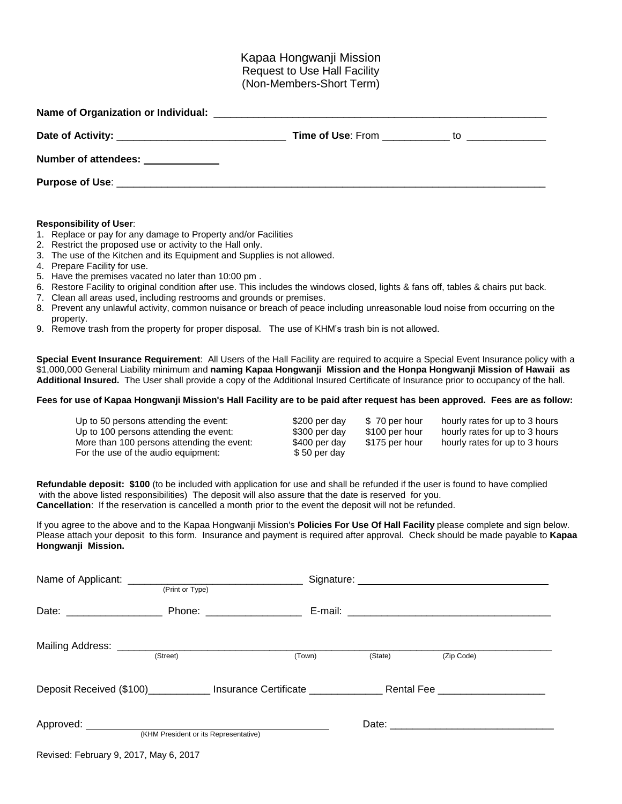# Kapaa Hongwanji Mission Request to Use Hall Facility (Non-Members-Short Term)

| Number of attendees: _____________ |  |
|------------------------------------|--|
|                                    |  |

## **Responsibility of User**:

- 1. Replace or pay for any damage to Property and/or Facilities
- 2. Restrict the proposed use or activity to the Hall only.
- 3. The use of the Kitchen and its Equipment and Supplies is not allowed.
- 4. Prepare Facility for use.
- 5. Have the premises vacated no later than 10:00 pm .
- 6. Restore Facility to original condition after use. This includes the windows closed, lights & fans off, tables & chairs put back.
- 7. Clean all areas used, including restrooms and grounds or premises.
- 8. Prevent any unlawful activity, common nuisance or breach of peace including unreasonable loud noise from occurring on the property.
- 9. Remove trash from the property for proper disposal. The use of KHM's trash bin is not allowed.

**Special Event Insurance Requirement**: All Users of the Hall Facility are required to acquire a Special Event Insurance policy with a \$1,000,000 General Liability minimum and **naming Kapaa Hongwanji Mission and the Honpa Hongwanji Mission of Hawaii as Additional Insured.** The User shall provide a copy of the Additional Insured Certificate of Insurance prior to occupancy of the hall.

## Fees for use of Kapaa Hongwanji Mission's Hall Facility are to be paid after request has been approved. Fees are as follow:

| Up to 50 persons attending the event:<br>Up to 100 persons attending the event:<br>More than 100 persons attending the event:<br>For the use of the audio equipment: | \$200 per day<br>\$300 per day<br>\$400 per day<br>\$50 per day | \$70 per hour<br>\$100 per hour<br>\$175 per hour | hourly rates for up to 3 hours<br>hourly rates for up to 3 hours<br>hourly rates for up to 3 hours |
|----------------------------------------------------------------------------------------------------------------------------------------------------------------------|-----------------------------------------------------------------|---------------------------------------------------|----------------------------------------------------------------------------------------------------|
|                                                                                                                                                                      |                                                                 |                                                   |                                                                                                    |

**Refundable deposit: \$100** (to be included with application for use and shall be refunded if the user is found to have complied with the above listed responsibilities) The deposit will also assure that the date is reserved for you. **Cancellation**: If the reservation is cancelled a month prior to the event the deposit will not be refunded.

If you agree to the above and to the Kapaa Hongwanji Mission's **Policies For Use Of Hall Facility** please complete and sign below. Please attach your deposit to this form. Insurance and payment is required after approval. Check should be made payable to **Kapaa Hongwanji Mission.** 

|                            | (Print or Type)                       |                                                                                                                |         |            |  |
|----------------------------|---------------------------------------|----------------------------------------------------------------------------------------------------------------|---------|------------|--|
| Date: ____________________ |                                       | Phone: __________________                                                                                      |         |            |  |
|                            | (Street)                              | (Town)                                                                                                         | (State) | (Zip Code) |  |
|                            |                                       | Deposit Received (\$100)_______________Insurance Certificate _____________________Rental Fee _________________ |         |            |  |
|                            | (KHM President or its Representative) |                                                                                                                |         |            |  |